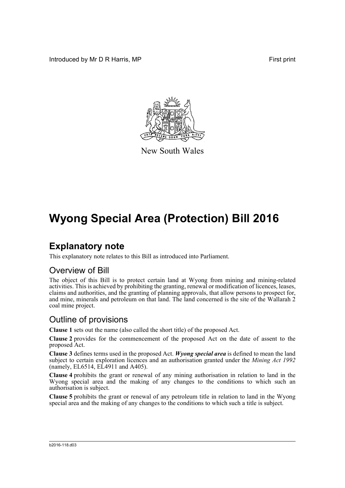Introduced by Mr D R Harris, MP **First** print



New South Wales

# **Wyong Special Area (Protection) Bill 2016**

### **Explanatory note**

This explanatory note relates to this Bill as introduced into Parliament.

### Overview of Bill

The object of this Bill is to protect certain land at Wyong from mining and mining-related activities. This is achieved by prohibiting the granting, renewal or modification of licences, leases, claims and authorities, and the granting of planning approvals, that allow persons to prospect for, and mine, minerals and petroleum on that land. The land concerned is the site of the Wallarah 2 coal mine project.

### Outline of provisions

**Clause 1** sets out the name (also called the short title) of the proposed Act.

**Clause 2** provides for the commencement of the proposed Act on the date of assent to the proposed Act.

**Clause 3** defines terms used in the proposed Act. *Wyong special area* is defined to mean the land subject to certain exploration licences and an authorisation granted under the *Mining Act 1992*  $(namely, EL6514, E<sub>L</sub>4911 and A405).$ 

**Clause 4** prohibits the grant or renewal of any mining authorisation in relation to land in the Wyong special area and the making of any changes to the conditions to which such an authorisation is subject.

**Clause 5** prohibits the grant or renewal of any petroleum title in relation to land in the Wyong special area and the making of any changes to the conditions to which such a title is subject.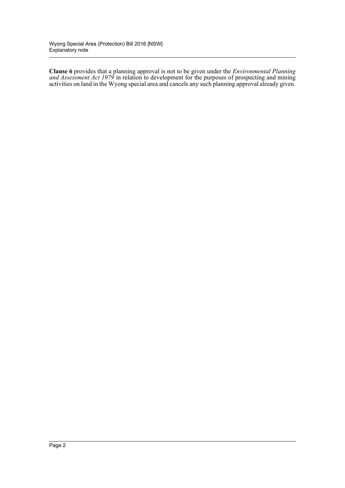**Clause 6** provides that a planning approval is not to be given under the *Environmental Planning and Assessment Act 1979* in relation to development for the purposes of prospecting and mining activities on land in the Wyong special area and cancels any such planning approval already given.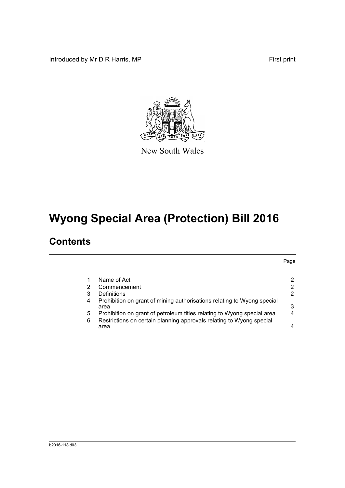Introduced by Mr D R Harris, MP **First** print



New South Wales

# **Wyong Special Area (Protection) Bill 2016**

## **Contents**

Page [1 Name of Act 2](#page-4-0) [2 Commencement 2](#page-4-1) 2 [3 Definitions 2](#page-4-2) [4 Prohibition on grant of mining authorisations relating to Wyong special](#page-5-0)  [area 3](#page-5-0) [5 Prohibition on grant of petroleum titles relating to Wyong special area 4](#page-6-0) [6 Restrictions on certain planning approvals relating to Wyong special](#page-6-1)  [area 4](#page-6-1)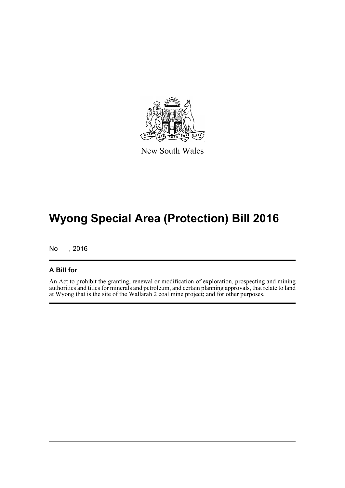

New South Wales

# **Wyong Special Area (Protection) Bill 2016**

No , 2016

#### **A Bill for**

An Act to prohibit the granting, renewal or modification of exploration, prospecting and mining authorities and titles for minerals and petroleum, and certain planning approvals, that relate to land at Wyong that is the site of the Wallarah 2 coal mine project; and for other purposes.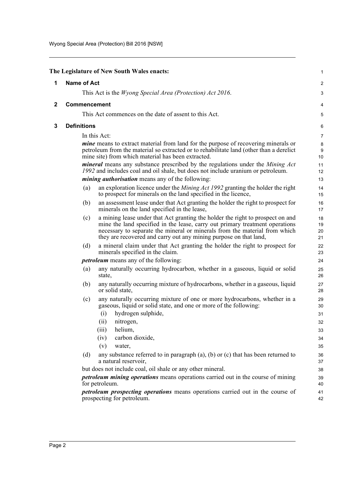<span id="page-4-2"></span><span id="page-4-1"></span><span id="page-4-0"></span>

|              |                     | The Legislature of New South Wales enacts:                                                                                                                                                                                                                                                                        | 1                       |
|--------------|---------------------|-------------------------------------------------------------------------------------------------------------------------------------------------------------------------------------------------------------------------------------------------------------------------------------------------------------------|-------------------------|
| 1            | <b>Name of Act</b>  |                                                                                                                                                                                                                                                                                                                   | $\overline{\mathbf{c}}$ |
|              |                     | This Act is the <i>Wyong Special Area (Protection) Act 2016</i> .                                                                                                                                                                                                                                                 | 3                       |
| $\mathbf{2}$ | <b>Commencement</b> |                                                                                                                                                                                                                                                                                                                   | 4                       |
|              |                     | This Act commences on the date of assent to this Act.                                                                                                                                                                                                                                                             | 5                       |
| 3            | <b>Definitions</b>  |                                                                                                                                                                                                                                                                                                                   |                         |
|              |                     | In this Act:                                                                                                                                                                                                                                                                                                      | 6                       |
|              |                     | <i>mine</i> means to extract material from land for the purpose of recovering minerals or                                                                                                                                                                                                                         | $\overline{7}$          |
|              |                     | petroleum from the material so extracted or to rehabilitate land (other than a derelict<br>mine site) from which material has been extracted.                                                                                                                                                                     | 8<br>9<br>10            |
|              |                     | <i>mineral</i> means any substance prescribed by the regulations under the <i>Mining Act</i><br>1992 and includes coal and oil shale, but does not include uranium or petroleum.                                                                                                                                  | 11<br>12                |
|              |                     | <i>mining authorisation</i> means any of the following:                                                                                                                                                                                                                                                           | 13                      |
|              | (a)                 | an exploration licence under the <i>Mining Act 1992</i> granting the holder the right<br>to prospect for minerals on the land specified in the licence,                                                                                                                                                           | 14<br>15                |
|              | (b)                 | an assessment lease under that Act granting the holder the right to prospect for<br>minerals on the land specified in the lease,                                                                                                                                                                                  | 16<br>17                |
|              | (c)                 | a mining lease under that Act granting the holder the right to prospect on and<br>mine the land specified in the lease, carry out primary treatment operations<br>necessary to separate the mineral or minerals from the material from which<br>they are recovered and carry out any mining purpose on that land, | 18<br>19<br>20<br>21    |
|              | (d)                 | a mineral claim under that Act granting the holder the right to prospect for<br>minerals specified in the claim.                                                                                                                                                                                                  | 22<br>23                |
|              |                     | <i>petroleum</i> means any of the following:                                                                                                                                                                                                                                                                      | 24                      |
|              | (a)                 | any naturally occurring hydrocarbon, whether in a gaseous, liquid or solid<br>state,                                                                                                                                                                                                                              | 25<br>26                |
|              | (b)                 | any naturally occurring mixture of hydrocarbons, whether in a gaseous, liquid<br>or solid state,                                                                                                                                                                                                                  | 27<br>28                |
|              | (c)                 | any naturally occurring mixture of one or more hydrocarbons, whether in a<br>gaseous, liquid or solid state, and one or more of the following:                                                                                                                                                                    | 29<br>30                |
|              |                     | hydrogen sulphide,<br>(i)                                                                                                                                                                                                                                                                                         | 31                      |
|              |                     | (ii)<br>nitrogen,<br>helium,<br>(iii)                                                                                                                                                                                                                                                                             | 32                      |
|              |                     | carbon dioxide,<br>(iv)                                                                                                                                                                                                                                                                                           | 33<br>34                |
|              |                     | (v)<br>water,                                                                                                                                                                                                                                                                                                     | 35                      |
|              | (d)                 | any substance referred to in paragraph $(a)$ , $(b)$ or $(c)$ that has been returned to                                                                                                                                                                                                                           | 36                      |
|              |                     | a natural reservoir,                                                                                                                                                                                                                                                                                              | 37                      |
|              |                     | but does not include coal, oil shale or any other mineral.                                                                                                                                                                                                                                                        | 38                      |
|              |                     | <i>petroleum mining operations</i> means operations carried out in the course of mining<br>for petroleum.                                                                                                                                                                                                         | 39<br>40                |
|              |                     | <i>petroleum prospecting operations</i> means operations carried out in the course of<br>prospecting for petroleum.                                                                                                                                                                                               | 41<br>42                |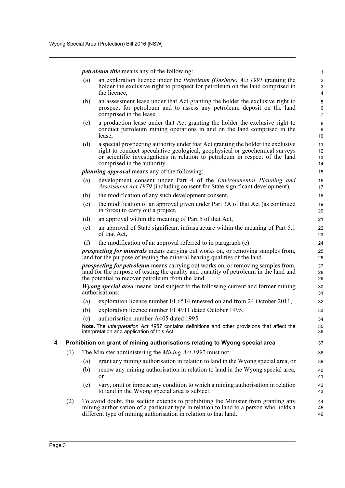*petroleum title* means any of the following:

(a) an exploration licence under the *Petroleum (Onshore) Act 1991* granting the holder the exclusive right to prospect for petroleum on the land comprised in the licence,

- (b) an assessment lease under that Act granting the holder the exclusive right to prospect for petroleum and to assess any petroleum deposit on the land comprised in the lease,
- (c) a production lease under that Act granting the holder the exclusive right to conduct petroleum mining operations in and on the land comprised in the lease,
- (d) a special prospecting authority under that Act granting the holder the exclusive right to conduct speculative geological, geophysical or geochemical surveys or scientific investigations in relation to petroleum in respect of the land comprised in the authority.

*planning approval* means any of the following:

- (a) development consent under Part 4 of the *Environmental Planning and Assessment Act 1979* (including consent for State significant development),
- (b) the modification of any such development consent,
- (c) the modification of an approval given under Part 3A of that Act (as continued in force) to carry out a project,
- (d) an approval within the meaning of Part 5 of that Act,
- (e) an approval of State significant infrastructure within the meaning of Part 5.1 of that Act,
- (f) the modification of an approval referred to in paragraph (e).

*prospecting for minerals* means carrying out works on, or removing samples from, land for the purpose of testing the mineral bearing qualities of the land.

*prospecting for petroleum* means carrying out works on, or removing samples from, land for the purpose of testing the quality and quantity of petroleum in the land and the potential to recover petroleum from the land.

*Wyong special area* means land subject to the following current and former mining authorisations:

- (a) exploration licence number EL6514 renewed on and from 24 October 2011,
- (b) exploration licence number EL4911 dated October 1995,
- (c) authorisation number A405 dated 1995.

**Note.** The *Interpretation Act 1987* contains definitions and other provisions that affect the interpretation and application of this Act.

#### <span id="page-5-0"></span>**4 Prohibition on grant of mining authorisations relating to Wyong special area**

- (1) The Minister administering the *Mining Act 1992* must not:
	- (a) grant any mining authorisation in relation to land in the Wyong special area, or
	- (b) renew any mining authorisation in relation to land in the Wyong special area, or
	- (c) vary, omit or impose any condition to which a mining authorisation in relation to land in the Wyong special area is subject.
- (2) To avoid doubt, this section extends to prohibiting the Minister from granting any mining authorisation of a particular type in relation to land to a person who holds a different type of mining authorisation in relation to that land.